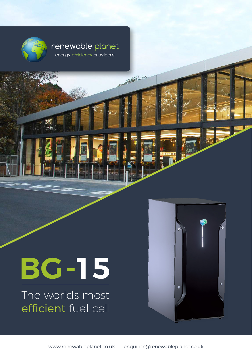

#### renewable planet energy efficiency providers

# **BG-15**

The worlds most efficient fuel cell

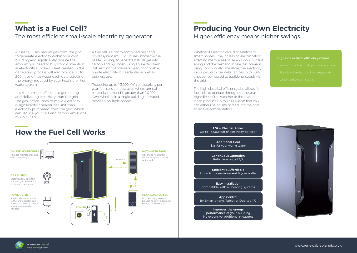## **What is a Fuel Cell?**

The most efficient small-scale electricity generator  $\parallel$  Higher efficiency means higher savings

A fuel cell uses natural gas from the grid to generate electricity within your own building and significantly reduce the amount you need to buy from conventional electricity suppliers. Heat created in the generation process will also provide up to 200 litres of hot water each day, reducing the energy required by your heating or hot water system.

It is much more efficient at generating and delivering electricity than the grid. The gas it consumes to make electricity is significantly cheaper per unit than electricity purchased from the grid, which can reduce your bills and carbon emissions by up to 50%.

**How the Fuel Cell Works**

A fuel cell is a micro combined heat and power system (mCHP). It uses innovative fuel cell technology to separate natural gas into carbon and hydrogen using an electrochemical reaction that delivers clean, controllable on-site electricity for residential as well as business use.

Producing up to 13,000 kWh of electricity per year, fuel cells are best used where annual electricity demand is greater than 10,000 kWh, whether in a single building or shared between multiple homes.

## **Producing Your Own Electricity**

Whether it's electric cars, digitalisation or smart homes – the increasing electrification affecting many areas of life and work is in full swing and the demand for electric power is rising continuously. Therefore, the electricity produced with fuel cells can be up to 50% cheaper compared to traditional supply via the arid.

The high electrical efficiency also allows for fuel cells to operate throughout the year regardless of the weather or the season. It can produce up to 13,000 kWh that you can either use on-site or feed into the grid to receive compensation.

Highest electrical efficiency means

- 
- 
- 

ONLINE MONITORING F HOT WATER TANK Remote maintenance and Generated heat is fed data monitoring continuously into the hot Hot water water tank GAS SUPPLY fø Steady supply from the (natural) gas network for 高 continuous operation PEAK LOAD BOILER POWER GRID Surplus electricity is sold Any heating system can to the grid operator, and be used to cover additional  $\rightarrow$ additional power is sourced heating requirements from the mains when nom the mains when  $\overline{1}$  POWER  $\bullet$ 

1.5kw Electric Power Up to 13,000kwh of electricity per year

> Additional Heat E.g. for your warm water

Continuous Operation Reliable energy 24/7

Efficient & Affordable Protects the environment & your wallet

Easy Installation Compatible with all heating systems

App Control By Smart-phone, Tablet or Desktop PC

Improves the energy performance of your building No expensive additional measures



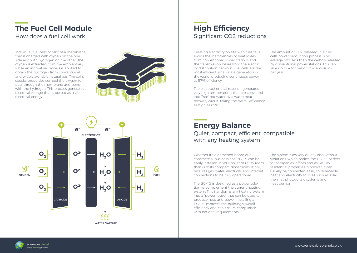#### **The Fuel Cell Module** How does a fuel cell work

Individual fuel cells consist of a membrane that is charged with oxygen on the one side and with hydrogen on the other. The oxygen is extracted from the ambient air, while an innovative process is applied to obtain the hydrogen from conventional and widely available natural gas. The cell's special properties compel the oxygen to pass through the membrane and bond with the hydrogen. This process generates electrical voltage that is output as usable electrical energy.





#### **High Efficiency** Significant CO2 reductions

Creating electricity on site with fuel cells avoids the inefficiencies of heat losses from conventional power stations and the transmission losses from the electricity distribution network. Fuel cells are the most efficient small-scale generators in the world, producing continuous power at 57% efficiency.

The electrochemical reaction generates very high temperatures that are converted into 'free' hot water by a waste heat recovery circuit, taking the overall efficiency as high as 85%.

#### **Energy Balance** Quiet, compact, efficient, compatible with any heating system

Whether it's a detached home or a commercial business: the BG-15 can be easily installed in your boiler or utility room thanks to its compact dimensions. It only requires gas, water, electricity and Internet connections to be fully operational.

The BG-15 is designed as a power solution to complement the current heating system. This transforms any heating system into a "powerhouse" that can be used to produce heat and power. Installing a BG-15 improves the building's overall efficiency and can ensure compliance with national requirements.

The system runs very quietly and without vibrations, which makes the BG-15 perfect for companies, offices and as well as residential properties. Moreover, it can usually be connected easily to renewable heat and electricity sources such as solar thermal, photovoltaic systems and heat pumps.

The amount of CO2 released in a fuel cells power production process is on average 50% less than the carbon released by conventional power stations. This can save up to 4 tonnes of CO2 emissions

per year.

renewable planet enerav efficiency oroviders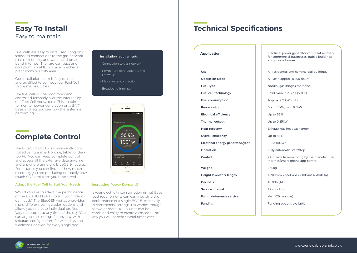### **Easy To Install** Easy to maintain

Fuel cells are easy to install, requiring only standard connections to the gas network, mains electricity and water, and broadband internet. They are compact and occupy minimal floor space in either a plant room or utility area.

Our installation team is fully trained and qualified to connect your Fuel Cell to the mains utilities.

The fuel cell will be monitored and controlled remotely over the internet by our Fuel Cell net system. This enables us to monitor power generation on a 24/7 basis and lets you see how the system is performing.

## **Complete Control**

The BlueGEN BG-15 is conveniently controlled using a smart-phone, tablet or desktop PC. You can keep complete control and access all the extensive data anytime and anywhere using the BlueGEN-net app. For instance you can find out how much electricity you are producing or exactly how much CO2 emissions you have saved.

#### Adapt the Fuel Cell to Suit Your Needs

Would you like to adapt the performance of the BlueGEN BG-15 to suit your individual needs? The BlueGEN-net app provides many different configuration options and allows you to create individual profiles. Vary the output at any time of the day. You can adjust the settings for any day, with separate configurations for weekdays and weekends, or even for every single day.

#### Installation requirements

- Connection to gas network
- Permanent connection to the power grid
- Mains water connection

- Broadband internet



#### Increasing Power Demand?

Is your electricity consumption rising? Base load requirements can easily outstrip the performance of a single BG-15, especially in commercial settings. No worries though, as two or more BG-15 units can be combined easily to create a cascade. This way you will benefit several times over.

## **Technical Specifications**

**Application Electrical power generator with heat recovery** for commercial businesses, public buildings and private homes Up to 55% Up to 0.85kW Up to 88%  $~13000kWh$ 250kg 46.8db (A) 12 months Use Operation Mode Fuel Type Fuel cell technology Fuel consumption Power output Electrical efficiency Thermal output Heat recovery Overall efficiency Electrical energy generated/year Operation Control **Weight** Height x width x length Decibels Service interval Full maintenance service Funding

All residential and commercial buildings All-year (approx. 8,700 hours) Natural gas (biogas methane) Solid oxide fuel cell (SOFC) Approx. 2.7 kWh (Hi) Max. 1.5kW, min. 0.5kW Exhaust gas heat exchanger Fully automatic start/stop 24-h remote monitoring by the manufacturer, Internet/smart-phone app control 1,200mm x 550mm x 800mm 46,8db (A) Yes (120 months) Funding options available